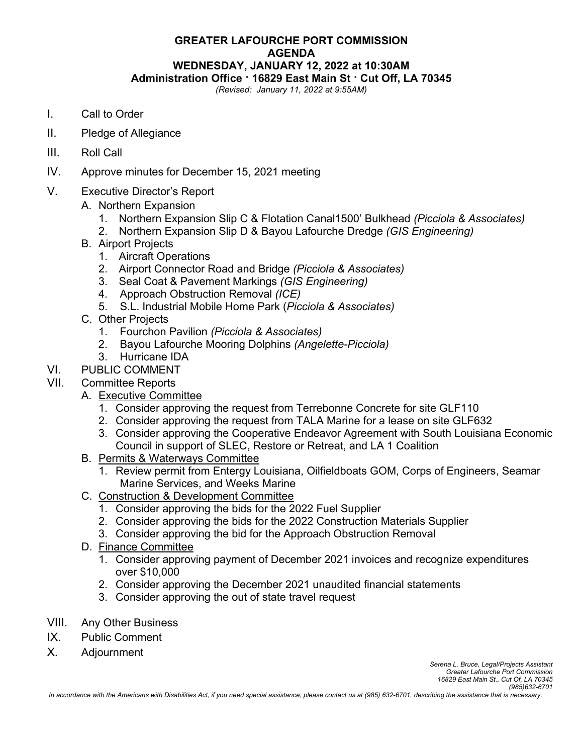## **GREATER LAFOURCHE PORT COMMISSION AGENDA WEDNESDAY, JANUARY 12, 2022 at 10:30AM Administration Office · 16829 East Main St · Cut Off, LA 70345**

*(Revised: January 11, 2022 at 9:55AM)*

- I. Call to Order
- II. Pledge of Allegiance
- III. Roll Call
- IV. Approve minutes for December 15, 2021 meeting
- V. Executive Director's Report
	- A. Northern Expansion
		- 1. Northern Expansion Slip C & Flotation Canal1500' Bulkhead *(Picciola & Associates)*
		- 2. Northern Expansion Slip D & Bayou Lafourche Dredge *(GIS Engineering)*
	- B. Airport Projects
		- 1. Aircraft Operations
		- 2. Airport Connector Road and Bridge *(Picciola & Associates)*
		- 3. Seal Coat & Pavement Markings *(GIS Engineering)*
		- 4. Approach Obstruction Removal *(ICE)*
		- 5. S.L. Industrial Mobile Home Park (*Picciola & Associates)*
	- C. Other Projects
		- 1. Fourchon Pavilion *(Picciola & Associates)*
		- 2. Bayou Lafourche Mooring Dolphins *(Angelette-Picciola)*
		- 3. Hurricane IDA
- VI. PUBLIC COMMENT
- VII. Committee Reports
	- A. Executive Committee
		- 1. Consider approving the request from Terrebonne Concrete for site GLF110
		- 2. Consider approving the request from TALA Marine for a lease on site GLF632
		- 3. Consider approving the Cooperative Endeavor Agreement with South Louisiana Economic Council in support of SLEC, Restore or Retreat, and LA 1 Coalition
	- B. Permits & Waterways Committee
		- 1. Review permit from Entergy Louisiana, Oilfieldboats GOM, Corps of Engineers, Seamar Marine Services, and Weeks Marine
	- C. Construction & Development Committee
		- 1. Consider approving the bids for the 2022 Fuel Supplier
		- 2. Consider approving the bids for the 2022 Construction Materials Supplier
		- 3. Consider approving the bid for the Approach Obstruction Removal
	- D. Finance Committee
		- 1. Consider approving payment of December 2021 invoices and recognize expenditures over \$10,000
		- 2. Consider approving the December 2021 unaudited financial statements
		- 3. Consider approving the out of state travel request
- VIII. Any Other Business
- IX. Public Comment
- X. Adjournment

*Serena L. Bruce, Legal/Projects Assistant Greater Lafourche Port Commission 16829 East Main St., Cut Of, LA 70345 (985)632-6701*

*In accordance with the Americans with Disabilities Act, if you need special assistance, please contact us at (985) 632-6701, describing the assistance that is necessary.*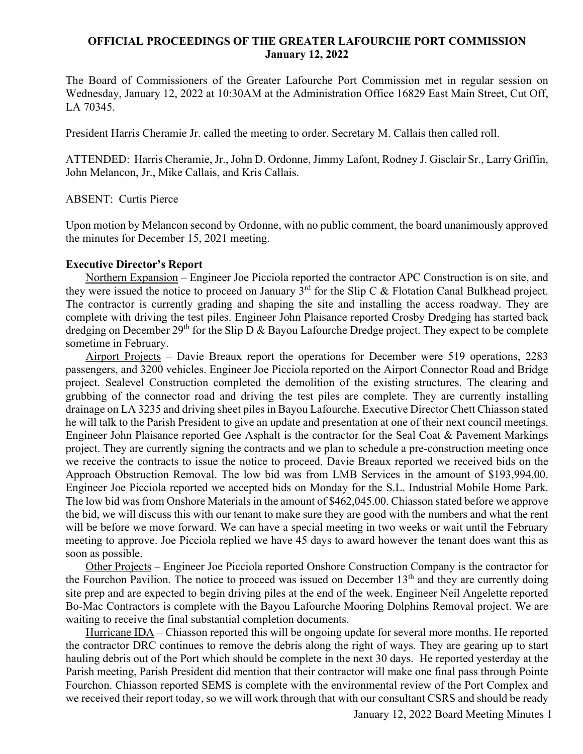## **OFFICIAL PROCEEDINGS OF THE GREATER LAFOURCHE PORT COMMISSION January 12, 2022**

The Board of Commissioners of the Greater Lafourche Port Commission met in regular session on Wednesday, January 12, 2022 at 10:30AM at the Administration Office 16829 East Main Street, Cut Off, LA 70345.

President Harris Cheramie Jr. called the meeting to order. Secretary M. Callais then called roll.

ATTENDED: Harris Cheramie, Jr., John D. Ordonne, Jimmy Lafont, Rodney J. Gisclair Sr., Larry Griffin, John Melancon, Jr., Mike Callais, and Kris Callais.

ABSENT: Curtis Pierce

Upon motion by Melancon second by Ordonne, with no public comment, the board unanimously approved the minutes for December 15, 2021 meeting.

## **Executive Director's Report**

 Northern Expansion – Engineer Joe Picciola reported the contractor APC Construction is on site, and they were issued the notice to proceed on January  $3<sup>rd</sup>$  for the Slip C & Flotation Canal Bulkhead project. The contractor is currently grading and shaping the site and installing the access roadway. They are complete with driving the test piles. Engineer John Plaisance reported Crosby Dredging has started back dredging on December 29<sup>th</sup> for the Slip D & Bayou Lafourche Dredge project. They expect to be complete sometime in February.

 Airport Projects – Davie Breaux report the operations for December were 519 operations, 2283 passengers, and 3200 vehicles. Engineer Joe Picciola reported on the Airport Connector Road and Bridge project. Sealevel Construction completed the demolition of the existing structures. The clearing and grubbing of the connector road and driving the test piles are complete. They are currently installing drainage on LA 3235 and driving sheet piles in Bayou Lafourche. Executive Director Chett Chiasson stated he will talk to the Parish President to give an update and presentation at one of their next council meetings. Engineer John Plaisance reported Gee Asphalt is the contractor for the Seal Coat & Pavement Markings project. They are currently signing the contracts and we plan to schedule a pre-construction meeting once we receive the contracts to issue the notice to proceed. Davie Breaux reported we received bids on the Approach Obstruction Removal. The low bid was from LMB Services in the amount of \$193,994.00. Engineer Joe Picciola reported we accepted bids on Monday for the S.L. Industrial Mobile Home Park. The low bid was from Onshore Materials in the amount of \$462,045.00. Chiasson stated before we approve the bid, we will discuss this with our tenant to make sure they are good with the numbers and what the rent will be before we move forward. We can have a special meeting in two weeks or wait until the February meeting to approve. Joe Picciola replied we have 45 days to award however the tenant does want this as soon as possible.

 Other Projects – Engineer Joe Picciola reported Onshore Construction Company is the contractor for the Fourchon Pavilion. The notice to proceed was issued on December  $13<sup>th</sup>$  and they are currently doing site prep and are expected to begin driving piles at the end of the week. Engineer Neil Angelette reported Bo-Mac Contractors is complete with the Bayou Lafourche Mooring Dolphins Removal project. We are waiting to receive the final substantial completion documents.

 Hurricane IDA – Chiasson reported this will be ongoing update for several more months. He reported the contractor DRC continues to remove the debris along the right of ways. They are gearing up to start hauling debris out of the Port which should be complete in the next 30 days. He reported yesterday at the Parish meeting, Parish President did mention that their contractor will make one final pass through Pointe Fourchon. Chiasson reported SEMS is complete with the environmental review of the Port Complex and we received their report today, so we will work through that with our consultant CSRS and should be ready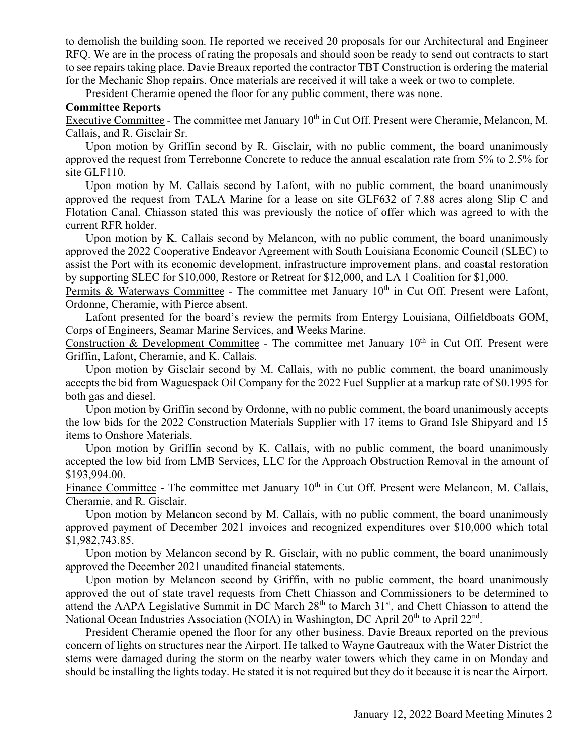to demolish the building soon. He reported we received 20 proposals for our Architectural and Engineer RFQ. We are in the process of rating the proposals and should soon be ready to send out contracts to start to see repairs taking place. Davie Breaux reported the contractor TBT Construction is ordering the material for the Mechanic Shop repairs. Once materials are received it will take a week or two to complete.

President Cheramie opened the floor for any public comment, there was none.

## **Committee Reports**

Executive Committee - The committee met January 10<sup>th</sup> in Cut Off. Present were Cheramie, Melancon, M. Callais, and R. Gisclair Sr.

 Upon motion by Griffin second by R. Gisclair, with no public comment, the board unanimously approved the request from Terrebonne Concrete to reduce the annual escalation rate from 5% to 2.5% for site GLF110.

 Upon motion by M. Callais second by Lafont, with no public comment, the board unanimously approved the request from TALA Marine for a lease on site GLF632 of 7.88 acres along Slip C and Flotation Canal. Chiasson stated this was previously the notice of offer which was agreed to with the current RFR holder.

 Upon motion by K. Callais second by Melancon, with no public comment, the board unanimously approved the 2022 Cooperative Endeavor Agreement with South Louisiana Economic Council (SLEC) to assist the Port with its economic development, infrastructure improvement plans, and coastal restoration by supporting SLEC for \$10,000, Restore or Retreat for \$12,000, and LA 1 Coalition for \$1,000.

Permits & Waterways Committee - The committee met January  $10<sup>th</sup>$  in Cut Off. Present were Lafont, Ordonne, Cheramie, with Pierce absent.

 Lafont presented for the board's review the permits from Entergy Louisiana, Oilfieldboats GOM, Corps of Engineers, Seamar Marine Services, and Weeks Marine.

Construction & Development Committee - The committee met January  $10<sup>th</sup>$  in Cut Off. Present were Griffin, Lafont, Cheramie, and K. Callais.

 Upon motion by Gisclair second by M. Callais, with no public comment, the board unanimously accepts the bid from Waguespack Oil Company for the 2022 Fuel Supplier at a markup rate of \$0.1995 for both gas and diesel.

 Upon motion by Griffin second by Ordonne, with no public comment, the board unanimously accepts the low bids for the 2022 Construction Materials Supplier with 17 items to Grand Isle Shipyard and 15 items to Onshore Materials.

 Upon motion by Griffin second by K. Callais, with no public comment, the board unanimously accepted the low bid from LMB Services, LLC for the Approach Obstruction Removal in the amount of \$193,994.00.

Finance Committee - The committee met January  $10<sup>th</sup>$  in Cut Off. Present were Melancon, M. Callais, Cheramie, and R. Gisclair.

 Upon motion by Melancon second by M. Callais, with no public comment, the board unanimously approved payment of December 2021 invoices and recognized expenditures over \$10,000 which total \$1,982,743.85.

 Upon motion by Melancon second by R. Gisclair, with no public comment, the board unanimously approved the December 2021 unaudited financial statements.

 Upon motion by Melancon second by Griffin, with no public comment, the board unanimously approved the out of state travel requests from Chett Chiasson and Commissioners to be determined to attend the AAPA Legislative Summit in DC March 28<sup>th</sup> to March 31<sup>st</sup>, and Chett Chiasson to attend the National Ocean Industries Association (NOIA) in Washington, DC April 20<sup>th</sup> to April 22<sup>nd</sup>.

 President Cheramie opened the floor for any other business. Davie Breaux reported on the previous concern of lights on structures near the Airport. He talked to Wayne Gautreaux with the Water District the stems were damaged during the storm on the nearby water towers which they came in on Monday and should be installing the lights today. He stated it is not required but they do it because it is near the Airport.